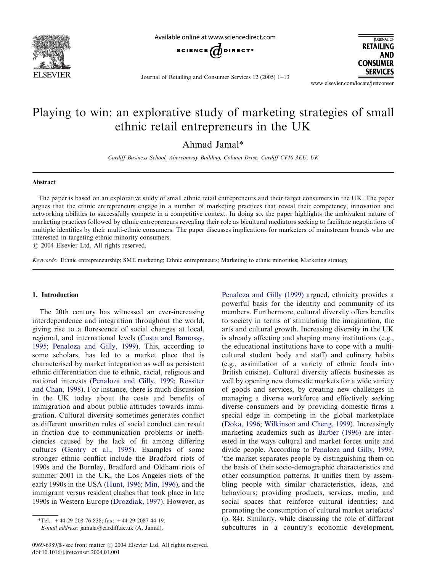

Available online at www.sciencedirect.com



**JOURNAL OF RETAILING AND CONSUMER SERVICES** 

Journal of Retailing and Consumer Services 12 (2005) 1–13

www.elsevier.com/locate/jretconser

## Playing to win: an explorative study of marketing strategies of small ethnic retail entrepreneurs in the UK

Ahmad Jamal\*

Cardiff Business School, Aberconway Building, Column Drive, Cardiff CF10 3EU, UK

#### Abstract

The paper is based on an explorative study of small ethnic retail entrepreneurs and their target consumers in the UK. The paper argues that the ethnic entrepreneurs engage in a number of marketing practices that reveal their competency, innovation and networking abilities to successfully compete in a competitive context. In doing so, the paper highlights the ambivalent nature of marketing practices followed by ethnic entrepreneurs revealing their role as bicultural mediators seeking to facilitate negotiations of multiple identities by their multi-ethnic consumers. The paper discusses implications for marketers of mainstream brands who are interested in targeting ethnic minority consumers.

 $\odot$  2004 Elsevier Ltd. All rights reserved.

Keywords: Ethnic entrepreneurship; SME marketing; Ethnic entrepreneurs; Marketing to ethnic minorities; Marketing strategy

#### 1. Introduction

The 20th century has witnessed an ever-increasing interdependence and integration throughout the world, giving rise to a florescence of social changes at local, regional, and international levels ([Costa and Bamossy,](#page--1-0) [1995;](#page--1-0) [Penaloza and Gilly, 1999\)](#page--1-0). This, according to some scholars, has led to a market place that is characterised by market integration as well as persistent ethnic differentiation due to ethnic, racial, religious and national interests [\(Penaloza and Gilly, 1999](#page--1-0); [Rossiter](#page--1-0) [and Chan, 1998](#page--1-0)). For instance, there is much discussion in the UK today about the costs and benefits of immigration and about public attitudes towards immigration. Cultural diversity sometimes generates conflict as different unwritten rules of social conduct can result in friction due to communication problems or inefficiencies caused by the lack of fit among differing cultures [\(Gentry et al., 1995](#page--1-0)). Examples of some stronger ethnic conflict include the Bradford riots of 1990s and the Burnley, Bradford and Oldham riots of summer 2001 in the UK, the Los Angeles riots of the early 1990s in the USA ([Hunt, 1996;](#page--1-0) [Min, 1996\)](#page--1-0), and the immigrant versus resident clashes that took place in late 1990s in Western Europe ([Drozdiak, 1997\)](#page--1-0). However, as

E-mail address: jamala@cardiff.ac.uk (A. Jamal).

[Penaloza and Gilly \(1999\)](#page--1-0) argued, ethnicity provides a powerful basis for the identity and community of its members. Furthermore, cultural diversity offers benefits to society in terms of stimulating the imagination, the arts and cultural growth. Increasing diversity in the UK is already affecting and shaping many institutions (e.g., the educational institutions have to cope with a multicultural student body and staff) and culinary habits (e.g., assimilation of a variety of ethnic foods into British cuisine). Cultural diversity affects businesses as well by opening new domestic markets for a wide variety of goods and services, by creating new challenges in managing a diverse workforce and effectively seeking diverse consumers and by providing domestic firms a special edge in competing in the global marketplace [\(Doka, 1996](#page--1-0); [Wilkinson and Cheng, 1999](#page--1-0)). Increasingly marketing academics such as [Barber \(1996\)](#page--1-0) are interested in the ways cultural and market forces unite and divide people. According to [Penaloza and Gilly, 1999](#page--1-0), 'the market separates people by distinguishing them on the basis of their socio-demographic characteristics and other consumption patterns. It unifies them by assembling people with similar characteristics, ideas, and behaviours; providing products, services, media, and social spaces that reinforce cultural identities; and promoting the consumption of cultural market artefacts' (p. 84). Similarly, while discussing the role of different subcultures in a country's economic development,

<sup>\*</sup>Tel.: +44-29-208-76-838; fax: +44-29-2087-44-19.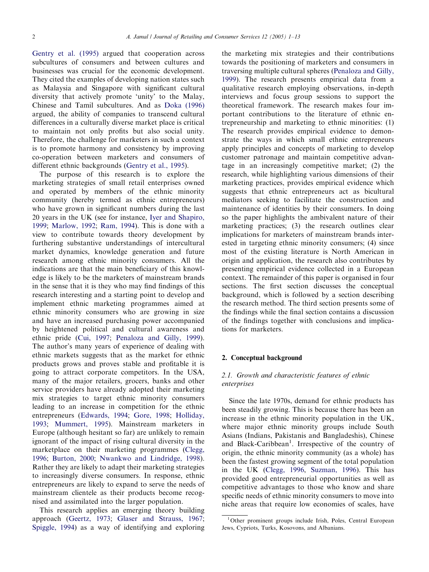[Gentry et al. \(1995\)](#page--1-0) argued that cooperation across subcultures of consumers and between cultures and businesses was crucial for the economic development. They cited the examples of developing nation states such as Malaysia and Singapore with significant cultural diversity that actively promote 'unity' to the Malay, Chinese and Tamil subcultures. And as [Doka \(1996\)](#page--1-0) argued, the ability of companies to transcend cultural differences in a culturally diverse market place is critical to maintain not only profits but also social unity. Therefore, the challenge for marketers in such a context is to promote harmony and consistency by improving co-operation between marketers and consumers of different ethnic backgrounds [\(Gentry et al., 1995](#page--1-0)).

The purpose of this research is to explore the marketing strategies of small retail enterprises owned and operated by members of the ethnic minority community (hereby termed as ethnic entrepreneurs) who have grown in significant numbers during the last 20 years in the UK (see for instance, [Iyer and Shapiro,](#page--1-0) [1999;](#page--1-0) [Marlow, 1992;](#page--1-0) [Ram, 1994](#page--1-0)). This is done with a view to contribute towards theory development by furthering substantive understandings of intercultural market dynamics, knowledge generation and future research among ethnic minority consumers. All the indications are that the main beneficiary of this knowledge is likely to be the marketers of mainstream brands in the sense that it is they who may find findings of this research interesting and a starting point to develop and implement ethnic marketing programmes aimed at ethnic minority consumers who are growing in size and have an increased purchasing power accompanied by heightened political and cultural awareness and ethnic pride [\(Cui, 1997](#page--1-0); [Penaloza and Gilly, 1999\)](#page--1-0). The author's many years of experience of dealing with ethnic markets suggests that as the market for ethnic products grows and proves stable and profitable it is going to attract corporate competitors. In the USA, many of the major retailers, grocers, banks and other service providers have already adopted their marketing mix strategies to target ethnic minority consumers leading to an increase in competition for the ethnic entrepreneurs ([Edwards, 1994;](#page--1-0) [Gore, 1998;](#page--1-0) [Holliday,](#page--1-0) [1993;](#page--1-0) [Mummert, 1995](#page--1-0)). Mainstream marketers in Europe (although hesitant so far) are unlikely to remain ignorant of the impact of rising cultural diversity in the marketplace on their marketing programmes [\(Clegg,](#page--1-0) [1996;](#page--1-0) [Burton, 2000;](#page--1-0) [Nwankwo and Lindridge, 1998\)](#page--1-0). Rather they are likely to adapt their marketing strategies to increasingly diverse consumers. In response, ethnic entrepreneurs are likely to expand to serve the needs of mainstream clientele as their products become recognised and assimilated into the larger population.

This research applies an emerging theory building approach [\(Geertz, 1973](#page--1-0); [Glaser and Strauss, 1967](#page--1-0); [Spiggle, 1994](#page--1-0)) as a way of identifying and exploring

the marketing mix strategies and their contributions towards the positioning of marketers and consumers in traversing multiple cultural spheres [\(Penaloza and Gilly,](#page--1-0) [1999\)](#page--1-0). The research presents empirical data from a qualitative research employing observations, in-depth interviews and focus group sessions to support the theoretical framework. The research makes four important contributions to the literature of ethnic entrepreneurship and marketing to ethnic minorities:(1) The research provides empirical evidence to demonstrate the ways in which small ethnic entrepreneurs apply principles and concepts of marketing to develop customer patronage and maintain competitive advantage in an increasingly competitive market; (2) the research, while highlighting various dimensions of their marketing practices, provides empirical evidence which suggests that ethnic entrepreneurs act as bicultural mediators seeking to facilitate the construction and maintenance of identities by their consumers. In doing so the paper highlights the ambivalent nature of their marketing practices; (3) the research outlines clear implications for marketers of mainstream brands interested in targeting ethnic minority consumers; (4) since most of the existing literature is North American in origin and application, the research also contributes by presenting empirical evidence collected in a European context. The remainder of this paper is organised in four sections. The first section discusses the conceptual background, which is followed by a section describing the research method. The third section presents some of the findings while the final section contains a discussion of the findings together with conclusions and implications for marketers.

#### 2. Conceptual background

### 2.1. Growth and characteristic features of ethnic enterprises

Since the late 1970s, demand for ethnic products has been steadily growing. This is because there has been an increase in the ethnic minority population in the UK, where major ethnic minority groups include South Asians (Indians, Pakistanis and Bangladeshis), Chinese and Black-Caribbean<sup>1</sup>. Irrespective of the country of origin, the ethnic minority community (as a whole) has been the fastest growing segment of the total population in the UK ([Clegg, 1996](#page--1-0), [Suzman, 1996\)](#page--1-0). This has provided good entrepreneurial opportunities as well as competitive advantages to those who know and share specific needs of ethnic minority consumers to move into niche areas that require low economies of scales, have

<sup>&</sup>lt;sup>1</sup>Other prominent groups include Irish, Poles, Central European Jews, Cypriots, Turks, Kosovons, and Albanians.